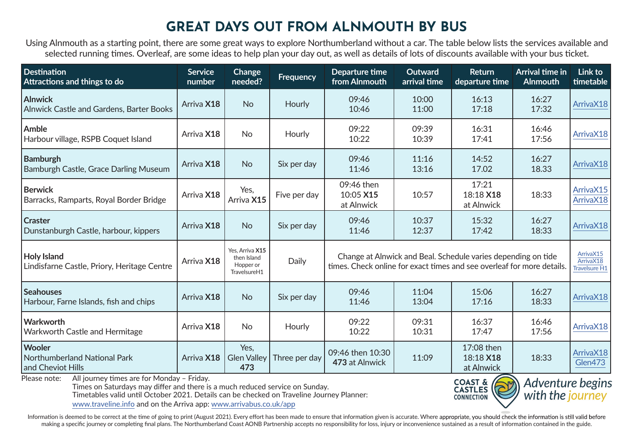# **GREAT DAYS OUT FROM ALNMOUTH BY BUS**

Using Alnmouth as a starting point, there are some great ways to explore Northumberland without a car. The table below lists the services available and selected running times. Overleaf, are some ideas to help plan your day out, as well as details of lots of discounts available with your bus ticket.

| <b>Destination</b><br>Attractions and things to do                                                | <b>Service</b><br>number | Change<br>needed?                                           | <b>Frequency</b> | Departure time<br>from Alnmouth                                                                                                         | <b>Outward</b><br>arrival time | <b>Return</b><br>departure time       | Arrival time in<br><b>Alnmouth</b> | Link to<br>timetable                    |
|---------------------------------------------------------------------------------------------------|--------------------------|-------------------------------------------------------------|------------------|-----------------------------------------------------------------------------------------------------------------------------------------|--------------------------------|---------------------------------------|------------------------------------|-----------------------------------------|
| <b>Alnwick</b><br>Alnwick Castle and Gardens, Barter Books                                        | Arriva X18               | <b>No</b>                                                   | Hourly           | 09:46<br>10:46                                                                                                                          | 10:00<br>11:00                 | 16:13<br>17:18                        | 16:27<br>17:32                     | ArrivaX18                               |
| Amble<br>Harbour village, RSPB Coquet Island                                                      | Arriva X18               | <b>No</b>                                                   | Hourly           | 09:22<br>10:22                                                                                                                          | 09:39<br>10:39                 | 16:31<br>17:41                        | 16:46<br>17:56                     | ArrivaX18                               |
| <b>Bamburgh</b><br>Bamburgh Castle, Grace Darling Museum                                          | Arriva X18               | <b>No</b>                                                   | Six per day      | 09:46<br>11:46                                                                                                                          | 11:16<br>13:16                 | 14:52<br>17.02                        | 16:27<br>18.33                     | ArrivaX18                               |
| <b>Berwick</b><br>Barracks, Ramparts, Royal Border Bridge                                         | Arriva X18               | Yes,<br>Arriva X15                                          | Five per day     | 09:46 then<br>10:05 X15<br>at Alnwick                                                                                                   | 10:57                          | 17:21<br>18:18 X18<br>at Alnwick      | 18:33                              | ArrivaX15<br>ArrivaX18                  |
| <b>Craster</b><br>Dunstanburgh Castle, harbour, kippers                                           | Arriva X18               | <b>No</b>                                                   | Six per day      | 09:46<br>11:46                                                                                                                          | 10:37<br>12:37                 | 15:32<br>17:42                        | 16:27<br>18:33                     | ArrivaX18                               |
| <b>Holy Island</b><br>Lindisfarne Castle, Priory, Heritage Centre                                 | Arriva X18               | Yes. Arriva X15<br>then Island<br>Hopper or<br>TravelsureH1 | Daily            | Change at Alnwick and Beal. Schedule varies depending on tide<br>times. Check online for exact times and see overleaf for more details. |                                |                                       |                                    | ArrivaX15<br>ArrivaX18<br>Travelsure H1 |
| <b>Seahouses</b><br>Harbour, Farne Islands, fish and chips                                        | Arriva X18               | <b>No</b>                                                   | Six per day      | 09:46<br>11:46                                                                                                                          | 11:04<br>13:04                 | 15:06<br>17:16                        | 16:27<br>18:33                     | ArrivaX18                               |
| Warkworth<br>Warkworth Castle and Hermitage                                                       | Arriva X18               | <b>No</b>                                                   | Hourly           | 09:22<br>10:22                                                                                                                          | 09:31<br>10:31                 | 16:37<br>17:47                        | 16:46<br>17:56                     | ArrivaX18                               |
| <b>Wooler</b><br>Northumberland National Park<br>and Cheviot Hills                                | Arriva X18               | Yes.<br><b>Glen Valley</b><br>473                           | Three per day    | 09:46 then 10:30<br>473 at Alnwick                                                                                                      | 11:09                          | 17:08 then<br>18:18 X18<br>at Alnwick | 18:33                              | ArrivaX18<br>Glen473                    |
| Please note: All journey times are for Monday - Friday.<br>2.72A <sub>0</sub><br>Advantura hogine |                          |                                                             |                  |                                                                                                                                         |                                |                                       |                                    |                                         |

Times on Saturdays may differ and there is a much reduced service on Sunday.

Timetables valid until October 2021. Details can be checked on Traveline Journey Planner:

www.traveline.info and on the Arriva app: www.arrivabus.co.uk/app



Information is deemed to be correct at the time of going to print (August 2021). Every effort has been made to ensure that information given is accurate. Where appropriate, you should check the information is still valid b making a specific journey or completing final plans. The Northumberland Coast AONB Partnership accepts no responsibility for loss, injury or inconvenience sustained as a result of information contained in the guide.